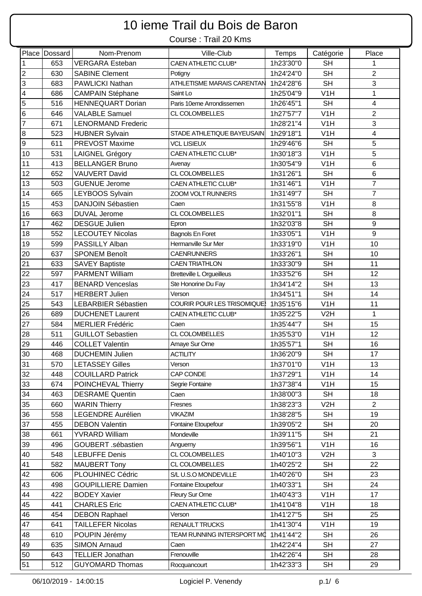## 10 ieme Trail du Bois de Baron

Course : Trail 20 Kms

|                         | Place Dossard | Nom-Prenom                 | Ville-Club                       | Temps     | Catégorie        | Place                    |
|-------------------------|---------------|----------------------------|----------------------------------|-----------|------------------|--------------------------|
| $\mathbf 1$             | 653           | <b>VERGARA Esteban</b>     | <b>CAEN ATHLETIC CLUB*</b>       | 1h23'30"0 | <b>SH</b>        | 1                        |
| $\overline{2}$          | 630           | <b>SABINE Clement</b>      | Potigny                          | 1h24'24"0 | <b>SH</b>        | $\overline{2}$           |
| 3                       | 683           | PAWLICKI Nathan            | ATHLETISME MARAIS CARENTAN       | 1h24'28"6 | <b>SH</b>        | 3                        |
| $\overline{\mathbf{4}}$ | 686           | <b>CAMPAIN Stéphane</b>    | Saint Lo                         | 1h25'04"9 | V <sub>1</sub> H | $\mathbf{1}$             |
| 5                       | 516           | <b>HENNEQUART Dorian</b>   | Paris 10eme Arrondissemen        | 1h26'45"1 | <b>SH</b>        | $\overline{\mathcal{A}}$ |
| $\,6$                   | 646           | <b>VALABLE Samuel</b>      | CL COLOMBELLES                   | 1h27'57"7 | V1H              | $\overline{2}$           |
| $\overline{7}$          | 671           | <b>LENORMAND Frederic</b>  |                                  | 1h28'21"4 | V <sub>1</sub> H | 3                        |
| 8                       | 523           | <b>HUBNER Sylvain</b>      | STADE ATHLETIQUE BAYEUSAIN       | 1h29'18"1 | V1H              | $\overline{\mathbf{4}}$  |
| $\boldsymbol{9}$        | 611           | <b>PREVOST Maxime</b>      | <b>VCL LISIEUX</b>               | 1h29'46"6 | <b>SH</b>        | 5                        |
| 10                      | 531           | <b>LAIGNEL Grégory</b>     | CAEN ATHLETIC CLUB*              | 1h30'18"3 | V1H              | 5                        |
| 11                      | 413           | <b>BELLANGER Bruno</b>     | Avenay                           | 1h30'54"9 | V1H              | 6                        |
| 12                      | 652           | <b>VAUVERT David</b>       | CL COLOMBELLES                   | 1h31'26"1 | <b>SH</b>        | 6                        |
| 13                      | 503           | <b>GUENUE Jerome</b>       | <b>CAEN ATHLETIC CLUB*</b>       | 1h31'46"1 | V1H              | $\overline{7}$           |
| 14                      | 665           | LEYBOOS Sylvain            | ZOOM VOLT RUNNERS                | 1h31'49"7 | <b>SH</b>        | $\overline{7}$           |
| 15                      | 453           | DANJOIN Sébastien          | Caen                             | 1h31'55"8 | V <sub>1</sub> H | 8                        |
| 16                      | 663           | <b>DUVAL Jerome</b>        | <b>CL COLOMBELLES</b>            | 1h32'01"1 | <b>SH</b>        | 8                        |
| 17                      | 462           | <b>DESGUE Julien</b>       | Epron                            | 1h32'03"8 | <b>SH</b>        | 9                        |
| 18                      | 552           | <b>LECOUTEY Nicolas</b>    | Bagnols En Foret                 | 1h33'05"1 | V <sub>1</sub> H | 9                        |
| 19                      | 599           | PASSILLY Alban             | Hermanville Sur Mer              | 1h33'19"0 | V1H              | 10                       |
| 20                      | 637           | <b>SPONEM Benoît</b>       | <b>CAENRUNNERS</b>               | 1h33'26"1 | <b>SH</b>        | 10                       |
| 21                      | 633           | <b>SAVEY Baptiste</b>      | <b>CAEN TRIATHLON</b>            | 1h33'30"9 | <b>SH</b>        | 11                       |
| 22                      | 597           | <b>PARMENT William</b>     | <b>Bretteville L Orgueilleus</b> | 1h33'52"6 | <b>SH</b>        | 12                       |
| 23                      | 417           | <b>BENARD Venceslas</b>    | Ste Honorine Du Fay              | 1h34'14"2 | <b>SH</b>        | 13                       |
| 24                      | 517           | <b>HERBERT Julien</b>      | Verson                           | 1h34'51"1 | <b>SH</b>        | 14                       |
| 25                      | 543           | <b>LEBARBIER Sébastien</b> | COURIR POUR LES TRISOMIQUE       | 1h35'15"6 | V <sub>1</sub> H | 11                       |
| 26                      | 689           | <b>DUCHENET Laurent</b>    | <b>CAEN ATHLETIC CLUB*</b>       | 1h35'22"5 | V <sub>2</sub> H | $\mathbf{1}$             |
| 27                      | 584           | <b>MERLIER Frédéric</b>    | Caen                             | 1h35'44"7 | <b>SH</b>        | 15                       |
| 28                      | 511           | <b>GUILLOT Sebastien</b>   | CL COLOMBELLES                   | 1h35'53"0 | V <sub>1</sub> H | 12                       |
| 29                      | 446           | <b>COLLET Valentin</b>     | Amaye Sur Orne                   | 1h35'57"1 | <b>SH</b>        | 16                       |
| 30                      | 468           | <b>DUCHEMIN Julien</b>     | <b>ACTILITY</b>                  | 1h36'20"9 | <b>SH</b>        | 17                       |
| 31                      | 570           | <b>LETASSEY Gilles</b>     | Verson                           | 1h37'01"0 | V <sub>1</sub> H | 13                       |
| 32                      | 448           | <b>COUILLARD Patrick</b>   | CAP CONDE                        | 1h37'29"1 | V <sub>1</sub> H | 14                       |
| 33                      | 674           | POINCHEVAL Thierry         | Segrie Fontaine                  | 1h37'38"4 | V <sub>1</sub> H | 15                       |
| 34                      | 463           | <b>DESRAME Quentin</b>     | Caen                             | 1h38'00"3 | <b>SH</b>        | 18                       |
| 35                      | 660           | <b>WARIN Thierry</b>       | Fresnes                          | 1h38'23"3 | V2H              | $\overline{2}$           |
| 36                      | 558           | <b>LEGENDRE Aurélien</b>   | <b>VIKAZIM</b>                   | 1h38'28"5 | <b>SH</b>        | 19                       |
| 37                      | 455           | <b>DEBON Valentin</b>      | Fontaine Etoupefour              | 1h39'05"2 | <b>SH</b>        | 20                       |
| 38                      | 661           | <b>YVRARD William</b>      | Mondeville                       | 1h39'11"5 | <b>SH</b>        | 21                       |
| 39                      | 496           | GOUBERT .sébastien         | Anguerny                         | 1h39'56"1 | V1H              | 16                       |
| 40                      | 548           | <b>LEBUFFE Denis</b>       | CL COLOMBELLES                   | 1h40'10"3 | V <sub>2</sub> H | 3                        |
| 41                      | 582           | <b>MAUBERT Tony</b>        | CL COLOMBELLES                   | 1h40'25"2 | <b>SH</b>        | 22                       |
| 42                      | 606           | PLOUHINEC Cédric           | S/L U.S.O MONDEVILLE             | 1h40'26"0 | <b>SH</b>        | 23                       |
| 43                      | 498           | <b>GOUPILLIERE Damien</b>  | Fontaine Etoupefour              | 1h40'33"1 | <b>SH</b>        | 24                       |
| 44                      | 422           | <b>BODEY Xavier</b>        | Fleury Sur Orne                  | 1h40'43"3 | V <sub>1</sub> H | 17                       |
| 45                      | 441           | <b>CHARLES Eric</b>        | CAEN ATHLETIC CLUB*              | 1h41'04"8 | V <sub>1</sub> H | 18                       |
| 46                      | 454           | <b>DEBON Raphael</b>       | Verson                           | 1h41'27"5 | <b>SH</b>        | 25                       |
| 47                      | 641           | <b>TAILLEFER Nicolas</b>   | RENAULT TRUCKS                   | 1h41'30"4 | V <sub>1</sub> H | 19                       |
| 48                      | 610           | POUPIN Jérémy              | TEAM RUNNING INTERSPORT MO       | 1h41'44"2 | <b>SH</b>        | 26                       |
| 49                      | 635           | <b>SIMON Arnaud</b>        | Caen                             | 1h42'24"4 | <b>SH</b>        | 27                       |
| 50                      | 643           | <b>TELLIER Jonathan</b>    | Frenouville                      | 1h42'26"4 | <b>SH</b>        | 28                       |
| 51                      | 512           | <b>GUYOMARD Thomas</b>     | Rocquancourt                     | 1h42'33"3 | <b>SH</b>        | 29                       |
|                         |               |                            |                                  |           |                  |                          |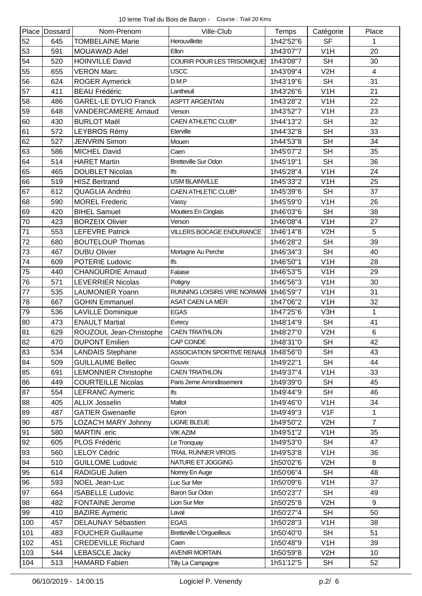|     | Place Dossard | Nom-Prenom                   | Ville-Club                        | <b>Temps</b> | Catégorie        | Place          |
|-----|---------------|------------------------------|-----------------------------------|--------------|------------------|----------------|
| 52  | 645           | <b>TOMBELAINE Marie</b>      | Herouvillette                     | 1h42'52"6    | <b>SF</b>        | 1              |
| 53  | 591           | MOUAWAD Adel                 | <b>Ellon</b>                      | 1h43'07"7    | V <sub>1</sub> H | 20             |
| 54  | 520           | <b>HOINVILLE David</b>       | <b>COURIR POUR LES TRISOMIQUE</b> | 1h43'08"7    | <b>SH</b>        | 30             |
| 55  | 655           | <b>VERON Marc</b>            | <b>USCC</b>                       | 1h43'09"4    | V2H              | $\overline{4}$ |
| 56  | 624           | <b>ROGER Aymerick</b>        | D.M.P                             | 1h43'19"6    | <b>SH</b>        | 31             |
| 57  | 411           | <b>BEAU Frédéric</b>         | Lantheuil                         | 1h43'26"6    | V <sub>1</sub> H | 21             |
| 58  | 486           | <b>GAREL-LE DYLIO Franck</b> | <b>ASPTT ARGENTAN</b>             | 1h43'28"2    | V1H              | 22             |
| 59  | 648           | <b>VANDERCAMERE Arnaud</b>   | Verson                            | 1h43'52"7    | V <sub>1</sub> H | 23             |
| 60  | 430           | <b>BURLOT Maël</b>           | CAEN ATHLETIC CLUB*               | 1h44'13"2    | <b>SH</b>        | 32             |
| 61  | 572           | LEYBROS Rémy                 | Eterville                         | 1h44'32"8    | <b>SH</b>        | 33             |
| 62  | 527           | <b>JENVRIN Simon</b>         | Mouen                             | 1h44'53"8    | <b>SH</b>        | 34             |
| 63  | 586           | <b>MICHEL David</b>          | Caen                              | 1h45'07"2    | <b>SH</b>        | 35             |
| 64  | 514           | <b>HARET Martin</b>          | <b>Bretteville Sur Odon</b>       | 1h45'19"1    | <b>SH</b>        | 36             |
| 65  | 465           | <b>DOUBLET Nicolas</b>       | lfs                               | 1h45'28"4    | V1H              | 24             |
| 66  | 519           | <b>HISZ Bertrand</b>         | <b>USM BLAINVILLE</b>             | 1h45'33"2    | V <sub>1</sub> H | 25             |
| 67  | 612           | QUAGLIA Andréo               | CAEN ATHLETIC CLUB*               | 1h45'39"6    | <b>SH</b>        | 37             |
| 68  | 590           | <b>MOREL Frederic</b>        | Vassy                             | 1h45'59"0    | V <sub>1</sub> H | 26             |
| 69  | 420           | <b>BIHEL Samuel</b>          | Moutiers En Cinglais              | 1h46'03"6    | <b>SH</b>        | 38             |
| 70  | 423           | <b>BORZEIX Olivier</b>       | Verson                            | 1h46'08"4    | V <sub>1</sub> H | 27             |
| 71  | 553           | <b>LEFEVRE Patrick</b>       | <b>VILLERS BOCAGE ENDURANCE</b>   | 1h46'14"8    | V2H              | 5              |
| 72  | 680           | <b>BOUTELOUP Thomas</b>      |                                   | 1h46'28"2    | <b>SH</b>        | 39             |
| 73  | 467           | <b>DUBU Olivier</b>          | Mortagne Au Perche                | 1h46'34"3    | <b>SH</b>        | 40             |
| 74  | 609           | <b>POTERIE Ludovic</b>       | lfs                               | 1h46'50"1    | V <sub>1</sub> H | 28             |
| 75  | 440           | <b>CHANOURDIE Arnaud</b>     | Falaise                           | 1h46'53"5    | V <sub>1</sub> H | 29             |
| 76  | 571           | <b>LEVERRIER Nicolas</b>     | Potigny                           | 1h46'56"3    | V <sub>1</sub> H | 30             |
| 77  | 535           | <b>LAUMONIER Yoann</b>       | RUNNING LOISIRS VIRE NORMAN       | 1h46'59"7    | V <sub>1</sub> H | 31             |
| 78  | 667           | <b>GOHIN Emmanuel</b>        | <b>ASAT CAEN LA MER</b>           | 1h47'06"2    | V1H              | 32             |
| 79  | 536           | <b>LAVILLE Dominique</b>     | <b>EGAS</b>                       | 1h47'25"6    | V3H              | $\mathbf 1$    |
| 80  | 473           | <b>ENAULT Martial</b>        | Evrecy                            | 1h48'14"9    | <b>SH</b>        | 41             |
| 81  | 629           | ROUZOUL Jean-Christophe      | <b>CAEN TRIATHLON</b>             | 1h48'27"0    | V <sub>2</sub> H | $\,6\,$        |
| 82  | 470           | <b>DUPONT Emilien</b>        | CAP CONDE                         | 1h48'31"0    | <b>SH</b>        | 42             |
| 83  | 534           | <b>LANDAIS Stephane</b>      | ASSOCIATION SPORTIVE RENAU        | 1h48'56"0    | <b>SH</b>        | 43             |
| 84  | 509           | <b>GUILLAUME Bellec</b>      | Gouvix                            | 1h49'22"1    | <b>SH</b>        | 44             |
| 85  | 691           | <b>LEMONNIER Christophe</b>  | <b>CAEN TRIATHLON</b>             | 1h49'37"4    | V <sub>1</sub> H | 33             |
| 86  | 449           | <b>COURTEILLE Nicolas</b>    | Paris 2eme Arrondissement         | 1h49'39"0    | <b>SH</b>        | 45             |
| 87  | 554           | <b>LEFRANC Aymeric</b>       | lfs                               | 1h49'44"9    | <b>SH</b>        | 46             |
| 88  | 405           | <b>ALLIX Josselin</b>        | Maltot                            | 1h49'46"0    | V <sub>1</sub> H | 34             |
| 89  | 487           | <b>GATIER Gwenaelle</b>      | Epron                             | 1h49'49"3    | V1F              | 1              |
| 90  | 575           | LOZAC'H MARY Johnny          | <b>LIGNE BLEUE</b>                | 1h49'50"2    | V <sub>2</sub> H | $\overline{7}$ |
| 91  | 580           | MARTIN .eric                 | <b>VIK AZIM</b>                   | 1h49'51"2    | V <sub>1</sub> H | 35             |
| 92  | 605           | PLOS Frédéric                | Le Tronquay                       | 1h49'53"0    | <b>SH</b>        | 47             |
| 93  | 560           | <b>LELOY Cédric</b>          | <b>TRAIL RUNNER VIROIS</b>        | 1h49'53"8    | V1H              | 36             |
| 94  | 510           | <b>GUILLOME Ludovic</b>      | NATURE ET JOGGING                 | 1h50'02"6    | V2H              | 8              |
| 95  | 614           | RADIGUE Julien               | Norrey En Auge                    | 1h50'06"4    | <b>SH</b>        | 48             |
| 96  | 593           | NOEL Jean-Luc                | Luc Sur Mer                       | 1h50'09"6    | V <sub>1</sub> H | 37             |
| 97  | 664           | <b>ISABELLE Ludovic</b>      | Baron Sur Odon                    | 1h50'23"7    | <b>SH</b>        | 49             |
| 98  | 482           | <b>FONTAINE Jerome</b>       | Lion Sur Mer                      | 1h50'25"8    | V2H              | 9              |
| 99  | 410           | <b>BAZIRE Aymeric</b>        | Laval                             | 1h50'27"4    | <b>SH</b>        | 50             |
| 100 | 457           | DELAUNAY Sébastien           | <b>EGAS</b>                       | 1h50'28"3    | V <sub>1</sub> H | 38             |
| 101 | 483           | <b>FOUCHER Guillaume</b>     | <b>Bretteville L'Orgueilleus</b>  | 1h50'40"0    | <b>SH</b>        | 51             |
| 102 | 451           | <b>CREDEVILLE Richard</b>    | Caen                              | 1h50'48"9    | V <sub>1</sub> H | 39             |
| 103 | 544           | <b>LEBASCLE Jacky</b>        | <b>AVENIR MORTAIN</b>             | 1h50'59"8    | V2H              | 10             |
| 104 | 513           | <b>HAMARD Fabien</b>         | Tilly La Campagne                 | 1h51'12"5    | <b>SH</b>        | 52             |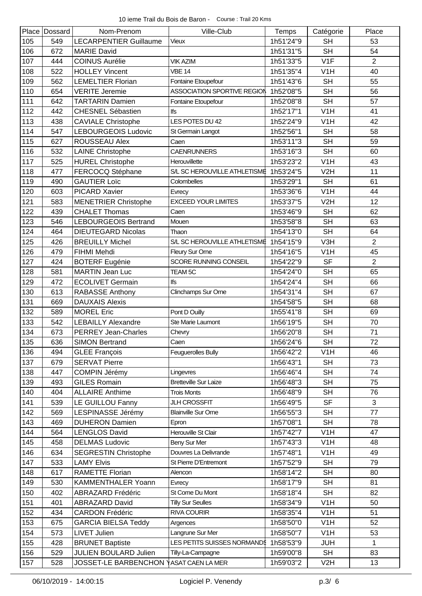|     | Place Dossard | Nom-Prenom                    | Ville-Club                   | Temps     | Catégorie        | Place          |
|-----|---------------|-------------------------------|------------------------------|-----------|------------------|----------------|
| 105 | 549           | <b>LECARPENTIER Guillaume</b> | Vieux                        | 1h51'24"9 | <b>SH</b>        | 53             |
| 106 | 672           | <b>MARIE David</b>            |                              | 1h51'31"5 | <b>SH</b>        | 54             |
| 107 | 444           | <b>COINUS Aurélie</b>         | <b>VIK AZIM</b>              | 1h51'33"5 | V <sub>1</sub> F | $\overline{2}$ |
| 108 | 522           | <b>HOLLEY Vincent</b>         | <b>VBE 14</b>                | 1h51'35"4 | V <sub>1</sub> H | 40             |
| 109 | 562           | <b>LEMELTIER Florian</b>      | Fontaine Etoupefour          | 1h51'43"6 | <b>SH</b>        | 55             |
| 110 | 654           | <b>VERITE Jeremie</b>         | ASSOCIATION SPORTIVE REGION  | 1h52'08"5 | <b>SH</b>        | 56             |
| 111 | 642           | <b>TARTARIN Damien</b>        | Fontaine Etoupefour          | 1h52'08"8 | <b>SH</b>        | 57             |
| 112 | 442           | <b>CHESNEL Sébastien</b>      | lfs                          | 1h52'17"1 | V <sub>1</sub> H | 41             |
| 113 | 438           | <b>CAVIALE Christophe</b>     | LES POTES DU 42              | 1h52'24"9 | V <sub>1</sub> H | 42             |
| 114 | 547           | <b>LEBOURGEOIS Ludovic</b>    | St Germain Langot            | 1h52'56"1 | <b>SH</b>        | 58             |
| 115 | 627           | ROUSSEAU Alex                 | Caen                         | 1h53'11"3 | <b>SH</b>        | 59             |
| 116 | 532           | <b>LAINE Christophe</b>       | <b>CAENRUNNERS</b>           | 1h53'16"3 | <b>SH</b>        | 60             |
| 117 | 525           | <b>HUREL Christophe</b>       | Herouvillette                | 1h53'23"2 | V <sub>1</sub> H | 43             |
| 118 | 477           | FERCOCQ Stéphane              | S/L SC HEROUVILLE ATHLETISME | 1h53'24"5 | V <sub>2</sub> H | 11             |
| 119 | 490           | <b>GAUTIER Loïc</b>           | Colombelles                  | 1h53'29"1 | <b>SH</b>        | 61             |
| 120 | 603           | <b>PICARD Xavier</b>          | Evrecy                       | 1h53'36"6 | V <sub>1</sub> H | 44             |
| 121 | 583           | <b>MENETRIER Christophe</b>   | <b>EXCEED YOUR LIMITES</b>   | 1h53'37"5 | V <sub>2</sub> H | 12             |
| 122 | 439           | <b>CHALET Thomas</b>          | Caen                         | 1h53'46"9 | <b>SH</b>        | 62             |
| 123 | 546           | <b>LEBOURGEOIS Bertrand</b>   | Mouen                        | 1h53'58"8 | <b>SH</b>        | 63             |
| 124 | 464           | <b>DIEUTEGARD Nicolas</b>     | Thaon                        | 1h54'13"0 | <b>SH</b>        | 64             |
| 125 | 426           | <b>BREUILLY Michel</b>        | S/L SC HEROUVILLE ATHLETISME | 1h54'15"9 | V3H              | $\overline{2}$ |
| 126 | 479           | FIHMI Mehdi                   | Fleury Sur Orne              | 1h54'16"5 | V <sub>1</sub> H | 45             |
| 127 | 424           | <b>BOTERF Eugénie</b>         | SCORE RUNNING CONSEIL        | 1h54'22"9 | <b>SF</b>        | $\overline{2}$ |
| 128 | 581           | <b>MARTIN Jean Luc</b>        | TEAM <sub>5C</sub>           | 1h54'24"0 | <b>SH</b>        | 65             |
| 129 | 472           | <b>ECOLIVET Germain</b>       | lfs                          | 1h54'24"4 | <b>SH</b>        | 66             |
| 130 | 613           | <b>RABASSE Anthony</b>        | Clinchamps Sur Orne          | 1h54'31"4 | <b>SH</b>        | 67             |
| 131 | 669           | <b>DAUXAIS Alexis</b>         |                              | 1h54'58"5 | <b>SH</b>        | 68             |
| 132 | 589           | <b>MOREL Eric</b>             | Pont D Ouilly                | 1h55'41"8 | <b>SH</b>        | 69             |
| 133 | 542           | <b>LEBAILLY Alexandre</b>     | Ste Marie Laumont            | 1h56'19"5 | <b>SH</b>        | 70             |
| 134 | 673           | <b>PERREY Jean-Charles</b>    | Chevry                       | 1h56'20"8 | <b>SH</b>        | 71             |
| 135 | 636           | <b>SIMON Bertrand</b>         | Caen                         | 1h56'24"6 | <b>SH</b>        | 72             |
| 136 | 494           | <b>GLEE François</b>          | Feuguerolles Bully           | 1h56'42"2 | V <sub>1</sub> H | 46             |
| 137 | 679           | <b>SERVAT Pierre</b>          |                              | 1h56'43"1 | <b>SH</b>        | 73             |
| 138 | 447           | <b>COMPIN Jérémy</b>          | Lingevres                    | 1h56'46"4 | <b>SH</b>        | 74             |
| 139 | 493           | <b>GILES Romain</b>           | <b>Bretteville Sur Laize</b> | 1h56'48"3 | <b>SH</b>        | 75             |
| 140 | 404           | <b>ALLAIRE Anthime</b>        | <b>Trois Monts</b>           | 1h56'48"9 | <b>SH</b>        | 76             |
| 141 | 539           | LE GUILLOU Fanny              | <b>JLH CROSSFIT</b>          | 1h56'49"5 | <b>SF</b>        | 3              |
| 142 | 569           | LESPINASSE Jérémy             | <b>Blainville Sur Orne</b>   | 1h56'55"3 | <b>SH</b>        | 77             |
| 143 | 469           | <b>DUHERON Damien</b>         | Epron                        | 1h57'08"1 | <b>SH</b>        | 78             |
| 144 | 564           | <b>LENGLOS David</b>          | Herouville St Clair          | 1h57'42"7 | V <sub>1</sub> H | 47             |
| 145 | 458           | <b>DELMAS Ludovic</b>         | Beny Sur Mer                 | 1h57'43"3 | V <sub>1</sub> H | 48             |
| 146 | 634           | <b>SEGRESTIN Christophe</b>   | Douvres La Delivrande        | 1h57'48"1 | V <sub>1</sub> H | 49             |
| 147 | 533           | <b>LAMY Elvis</b>             | St Pierre D'Entremont        | 1h57'52"9 | <b>SH</b>        | 79             |
| 148 | 617           | RAMETTE Florian               | Alencon                      | 1h58'14"2 | <b>SH</b>        | 80             |
| 149 | 530           | <b>KAMMENTHALER Yoann</b>     | Evrecy                       | 1h58'17"9 | <b>SH</b>        | 81             |
| 150 | 402           | <b>ABRAZARD Frédéric</b>      | St Come Du Mont              | 1h58'18"4 | <b>SH</b>        | 82             |
| 151 | 401           | <b>ABRAZARD David</b>         | <b>Tilly Sur Seulles</b>     | 1h58'34"9 | V <sub>1</sub> H | 50             |
| 152 | 434           | <b>CARDON Frédéric</b>        | <b>RIVA COURIR</b>           | 1h58'35"4 | V <sub>1</sub> H | 51             |
| 153 | 675           | <b>GARCIA BIELSA Teddy</b>    | Argences                     | 1h58'50"0 | V <sub>1</sub> H | 52             |
| 154 | 573           | <b>LIVET Julien</b>           | Langrune Sur Mer             | 1h58'50"7 | V <sub>1</sub> H | 53             |
| 155 | 428           | <b>BRUNET Baptiste</b>        | LES PETITS SUISSES NORMANDS  | 1h58'53"9 | <b>JUH</b>       | $\mathbf{1}$   |
| 156 | 529           | <b>JULIEN BOULARD Julien</b>  | Tilly-La-Campagne            | 1h59'00"8 | <b>SH</b>        | 83             |
| 157 | 528           | JOSSET-LE BARBENCHON          | ASAT CAEN LA MER             | 1h59'03"2 | V2H              | 13             |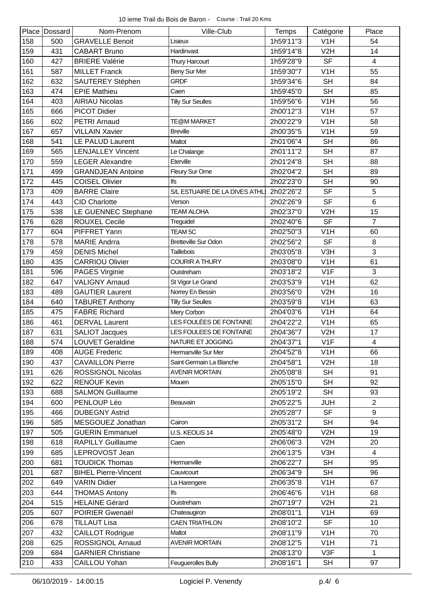|     | Place Dossard | Nom-Prenom                  | Ville-Club                    | <b>Temps</b> | Catégorie        | Place                    |
|-----|---------------|-----------------------------|-------------------------------|--------------|------------------|--------------------------|
| 158 | 500           | <b>GRAVELLE Benoit</b>      | Lisieux                       | 1h59'11"3    | V <sub>1</sub> H | 54                       |
| 159 | 431           | <b>CABART Bruno</b>         | Hardinvast                    | 1h59'14"8    | V2H              | 14                       |
| 160 | 427           | <b>BRIERE Valérie</b>       | Thury Harcourt                | 1h59'28"9    | <b>SF</b>        | $\overline{4}$           |
| 161 | 587           | <b>MILLET Franck</b>        | Beny Sur Mer                  | 1h59'30"7    | V <sub>1</sub> H | 55                       |
| 162 | 632           | SAUTEREY Stéphen            | <b>GRDF</b>                   | 1h59'34"6    | <b>SH</b>        | 84                       |
| 163 | 474           | <b>EPIE Mathieu</b>         | Caen                          | 1h59'45"0    | <b>SH</b>        | 85                       |
| 164 | 403           | <b>AIRIAU Nicolas</b>       | <b>Tilly Sur Seulles</b>      | 1h59'56"6    | V1H              | 56                       |
| 165 | 666           | <b>PICOT Didier</b>         |                               | 2h00'12"3    | V <sub>1</sub> H | 57                       |
| 166 | 602           | <b>PETRI Arnaud</b>         | TE@M MARKET                   | 2h00'22"9    | V <sub>1</sub> H | 58                       |
| 167 | 657           | <b>VILLAIN Xavier</b>       | <b>Breville</b>               | 2h00'35"5    | V1H              | 59                       |
| 168 | 541           | LE PALUD Laurent            | Maltot                        | 2h01'06"4    | <b>SH</b>        | 86                       |
| 169 | 565           | <b>LENJALLEY Vincent</b>    | Le Chalange                   | 2h01'11"2    | <b>SH</b>        | 87                       |
| 170 | 559           | <b>LEGER Alexandre</b>      | Eterville                     | 2h01'24"8    | <b>SH</b>        | 88                       |
| 171 | 499           | <b>GRANDJEAN Antoine</b>    | Fleury Sur Orne               | 2h02'04"2    | <b>SH</b>        | 89                       |
| 172 | 445           | <b>COISEL Olivier</b>       | lfs                           | 2h02'23"0    | <b>SH</b>        | 90                       |
| 173 | 409           | <b>BARRE Claire</b>         | S/L ESTUAIRE DE LA DIVES ATHL | 2h02'26"2    | <b>SF</b>        | 5                        |
| 174 | 443           | <b>CID Charlotte</b>        | Verson                        | 2h02'26"9    | <b>SF</b>        | 6                        |
| 175 | 538           | LE GUENNEC Stephane         | <b>TEAM ALOHA</b>             | 2h02'37"0    | V <sub>2</sub> H | 15                       |
| 176 | 628           | <b>ROUXEL Cecile</b>        | Treguidel                     | 2h02'40"6    | <b>SF</b>        | $\overline{7}$           |
| 177 | 604           | PIFFRET Yann                | <b>TEAM 5C</b>                | 2h02'50"3    | V <sub>1</sub> H | 60                       |
| 178 | 578           | <b>MARIE Andrra</b>         | <b>Bretteville Sur Odon</b>   | 2h02'56"2    | <b>SF</b>        | 8                        |
| 179 | 459           | <b>DENIS Michel</b>         | <b>Taillebois</b>             | 2h03'05"8    | V3H              | 3                        |
| 180 | 435           | <b>CARRIOU Olivier</b>      | <b>COURIR A THURY</b>         | 2h03'08"0    | V <sub>1</sub> H | 61                       |
| 181 | 596           | PAGES Virginie              | Ouistreham                    | 2h03'18"2    | V <sub>1</sub> F | 3                        |
| 182 | 647           | <b>VALIGNY Arnaud</b>       | St Vigor Le Grand             | 2h03'53"9    | V <sub>1</sub> H | 62                       |
| 183 | 489           | <b>GAUTIER Laurent</b>      | Norrey En Bessin              | 2h03'56"0    | V <sub>2</sub> H | 16                       |
| 184 | 640           | <b>TABURET Anthony</b>      | <b>Tilly Sur Seulles</b>      | 2h03'59"8    | V1H              | 63                       |
| 185 | 475           | <b>FABRE Richard</b>        | Mery Corbon                   | 2h04'03"6    | V <sub>1</sub> H | 64                       |
| 186 | 461           | <b>DERVAL Laurent</b>       | LES FOULÉES DE FONTAINE       | 2h04'22"2    | V <sub>1</sub> H | 65                       |
| 187 | 631           | <b>SALIOT Jacques</b>       | LES FOULEES DE FONTAINE       | 2h04'36"7    | V2H              | 17                       |
| 188 | 574           | <b>LOUVET Geraldine</b>     | NATURE ET JOGGING             | 2h04'37"1    | V1F              | $\overline{\mathcal{A}}$ |
| 189 | 408           | <b>AUGE Frederic</b>        | Hermanville Sur Mer           | 2h04'52"8    | V <sub>1</sub> H | 66                       |
| 190 | 437           | <b>CAVAILLON Pierre</b>     | Saint Germain La Blanche      | 2h04'58"1    | V <sub>2</sub> H | 18                       |
| 191 | 626           | <b>ROSSIGNOL Nicolas</b>    | <b>AVENIR MORTAIN</b>         | 2h05'08"8    | <b>SH</b>        | 91                       |
| 192 | 622           | <b>RENOUF Kevin</b>         | Mouen                         | 2h05'15"0    | <b>SH</b>        | 92                       |
| 193 | 688           | <b>SALMON Guillaume</b>     |                               | 2h05'19"2    | <b>SH</b>        | 93                       |
| 194 | 600           | PENLOUP Léo                 | Beauvain                      | 2h05'22"5    | <b>JUH</b>       | $\overline{2}$           |
| 195 | 466           | <b>DUBEGNY Astrid</b>       |                               | 2h05'28"7    | <b>SF</b>        | 9                        |
| 196 | 585           | MESGOUEZ Jonathan           | Cairon                        | 2h05'31"2    | <b>SH</b>        | 94                       |
| 197 | 505           | <b>GUERIN Emmanuel</b>      | U.S. KEOLIS 14                | 2h05'48"0    | V <sub>2</sub> H | 19                       |
| 198 | 618           | <b>RAPILLY Guillaume</b>    | Caen                          | 2h06'06"3    | V <sub>2</sub> H | 20                       |
| 199 | 685           | LEPROVOST Jean              |                               | 2h06'13"5    | V3H              | 4                        |
| 200 | 681           | <b>TOUDICK Thomas</b>       | Hermanville                   | 2h06'22"7    | <b>SH</b>        | 95                       |
| 201 | 687           | <b>BIHEL Pierre-Vincent</b> | Cauvicourt                    | 2h06'34"9    | <b>SH</b>        | 96                       |
| 202 | 649           | <b>VARIN Didier</b>         | La Harengere                  | 2h06'35"8    | V <sub>1</sub> H | 67                       |
| 203 | 644           | <b>THOMAS Antony</b>        | lfs                           | 2h06'46"6    | V <sub>1</sub> H | 68                       |
| 204 | 515           | <b>HELAINE Gérard</b>       | Ouistreham                    | 2h07'19"7    | V <sub>2</sub> H | 21                       |
| 205 | 607           | POIRIER Gwenaël             | Chateaugiron                  | 2h08'01"1    | V <sub>1</sub> H | 69                       |
| 206 | 678           | <b>TILLAUT Lisa</b>         | <b>CAEN TRIATHLON</b>         | 2h08'10"2    | <b>SF</b>        | 10                       |
| 207 | 432           | <b>CAILLOT Rodrigue</b>     | Maltot                        | 2h08'11"9    | V <sub>1</sub> H | 70                       |
| 208 | 625           | ROSSIGNOL Arnaud            | <b>AVENIR MORTAIN</b>         | 2h08'12"5    | V <sub>1</sub> H | 71                       |
| 209 | 684           | <b>GARNIER Christiane</b>   |                               | 2h08'13"0    | V3F              | $\mathbf{1}$             |
| 210 | 433           | CAILLOU Yohan               | Feuguerolles Bully            | 2h08'16"1    | <b>SH</b>        | 97                       |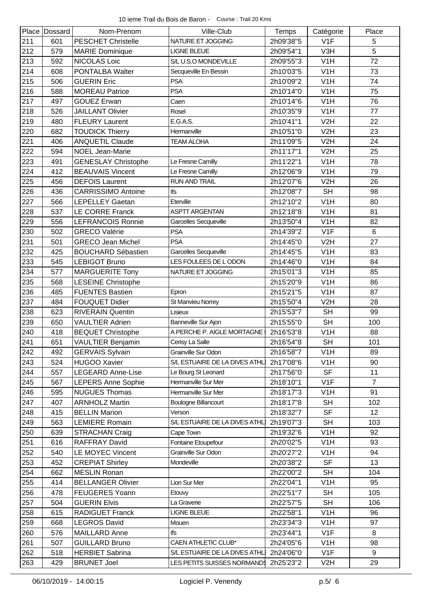|     | Place Dossard | Nom-Prenom                 | Ville-Club                    | <b>Temps</b> | Catégorie        | Place          |
|-----|---------------|----------------------------|-------------------------------|--------------|------------------|----------------|
| 211 | 601           | <b>PESCHET Christelle</b>  | NATURE ET JOGGING             | 2h09'38"5    | V <sub>1</sub> F | 5              |
| 212 | 579           | <b>MARIE Dominique</b>     | <b>LIGNE BLEUE</b>            | 2h09'54"1    | V3H              | 5              |
| 213 | 592           | <b>NICOLAS Loic</b>        | S/L U.S.O MONDEVILLE          | 2h09'55"3    | V <sub>1</sub> H | 72             |
| 214 | 608           | PONTALBA Walter            | Secqueville En Bessin         | 2h10'03"5    | V <sub>1</sub> H | 73             |
| 215 | 506           | <b>GUERIN Eric</b>         | <b>PSA</b>                    | 2h10'09"2    | V <sub>1</sub> H | 74             |
| 216 | 588           | <b>MOREAU Patrice</b>      | <b>PSA</b>                    | 2h10'14"0    | V <sub>1</sub> H | 75             |
| 217 | 497           | <b>GOUEZ Erwan</b>         | Caen                          | 2h10'14"6    | V1H              | 76             |
| 218 | 526           | <b>JAILLANT Olivier</b>    | Rosel                         | 2h10'35"9    | V <sub>1</sub> H | 77             |
| 219 | 480           | <b>FLEURY Laurent</b>      | E.G.A.S.                      | 2h10'41"1    | V <sub>2</sub> H | 22             |
| 220 | 682           | <b>TOUDICK Thierry</b>     | Hermanville                   | 2h10'51"0    | V2H              | 23             |
| 221 | 406           | <b>ANQUETIL Claude</b>     | <b>TEAM ALOHA</b>             | 2h11'09"5    | V <sub>2</sub> H | 24             |
| 222 | 594           | <b>NOEL Jean-Marie</b>     |                               | 2h11'17"1    | V <sub>2</sub> H | 25             |
| 223 | 491           | <b>GENESLAY Christophe</b> | Le Fresne Camilly             | 2h11'22"1    | V <sub>1</sub> H | 78             |
| 224 | 412           | <b>BEAUVAIS Vincent</b>    | Le Fresne Camilly             | 2h12'06"9    | V <sub>1</sub> H | 79             |
| 225 | 456           | <b>DEFOIS Laurent</b>      | <b>RUN AND TRAIL</b>          | 2h12'07"6    | V <sub>2</sub> H | 26             |
| 226 | 436           | <b>CARRISSIMO Antoine</b>  | lfs                           | 2h12'08"7    | <b>SH</b>        | 98             |
| 227 | 566           | <b>LEPELLEY Gaetan</b>     | Eterville                     | 2h12'10"2    | V1H              | 80             |
| 228 | 537           | <b>LE CORRE Franck</b>     | <b>ASPTT ARGENTAN</b>         | 2h12'18"8    | V1H              | 81             |
| 229 | 556           | <b>LEFRANCOIS Ronnie</b>   | Garcelles Secqueville         | 2h13'50"4    | V <sub>1</sub> H | 82             |
| 230 | 502           | <b>GRECO Valérie</b>       | <b>PSA</b>                    | 2h14'39"2    | V1F              | 6              |
| 231 | 501           | <b>GRECO Jean Michel</b>   | <b>PSA</b>                    | 2h14'45"0    | V2H              | 27             |
| 232 | 425           | <b>BOUCHARD Sébastien</b>  | Garcelles Secqueville         | 2h14'45"5    | V <sub>1</sub> H | 83             |
| 233 | 545           | <b>LEBIGOT Bruno</b>       | LES FOULEES DE LODON          | 2h14'46"0    | V <sub>1</sub> H | 84             |
| 234 | 577           | <b>MARGUERITE Tony</b>     | NATURE ET JOGGING             | 2h15'01"3    | V <sub>1</sub> H | 85             |
| 235 | 568           | <b>LESEINE Christophe</b>  |                               | 2h15'20"9    | V <sub>1</sub> H | 86             |
| 236 | 485           | <b>FUENTES Bastien</b>     | Epron                         | 2h15'21"5    | V <sub>1</sub> H | 87             |
| 237 | 484           | <b>FOUQUET Didier</b>      | St Manvieu Norrey             | 2h15'50"4    | V <sub>2</sub> H | 28             |
| 238 | 623           | <b>RIVERAIN Quentin</b>    | Lisieux                       | 2h15'53"7    | <b>SH</b>        | 99             |
| 239 | 650           | <b>VAULTIER Adrien</b>     | Banneville Sur Ajon           | 2h15'55"0    | <b>SH</b>        | 100            |
| 240 | 418           | <b>BEQUET Christophe</b>   | A PERCHE P. AIGLE MORTAGNE    | 2h16'53"8    | V <sub>1</sub> H | 88             |
| 241 | 651           | VAULTIER Benjamin          | Cerisy La Salle               | 2h16'54"8    | <b>SH</b>        | 101            |
| 242 | 492           | <b>GERVAIS Sylvain</b>     | Grainville Sur Odon           | 2h16'58"7    | V <sub>1</sub> H | 89             |
| 243 | 524           | <b>HUGOO Xavier</b>        | S/L ESTUAIRE DE LA DIVES ATHL | 2h17'08"6    | V <sub>1</sub> H | 90             |
| 244 | 557           | <b>LEGEARD Anne-Lise</b>   | Le Bourg St Leonard           | 2h17'56"0    | <b>SF</b>        | 11             |
| 245 | 567           | LEPERS Anne Sophie         | Hermanville Sur Mer           | 2h18'10"1    | V <sub>1</sub> F | $\overline{7}$ |
| 246 | 595           | <b>NUGUES Thomas</b>       | Hermanville Sur Mer           | 2h18'17"3    | V <sub>1</sub> H | 91             |
| 247 | 407           | <b>ARNHOLZ Martin</b>      | <b>Boulogne Billancourt</b>   | 2h18'17"8    | <b>SH</b>        | 102            |
| 248 | 415           | <b>BELLIN Marion</b>       | Verson                        | 2h18'32"7    | <b>SF</b>        | 12             |
| 249 | 563           | <b>LEMIERE Romain</b>      | S/L ESTUAIRE DE LA DIVES ATHL | 2h19'07"3    | <b>SH</b>        | 103            |
| 250 | 639           | <b>STRACHAN Craig</b>      | Cape Town                     | 2h19'32"6    | V <sub>1</sub> H | 92             |
| 251 | 616           | RAFFRAY David              | Fontaine Etoupefour           | 2h20'02"5    | V <sub>1</sub> H | 93             |
| 252 | 540           | <b>LE MOYEC Vincent</b>    | Grainville Sur Odon           | 2h20'27"2    | V <sub>1</sub> H | 94             |
| 253 | 452           | <b>CREPIAT Shirley</b>     | Mondeville                    | 2h20'38"2    | <b>SF</b>        | 13             |
| 254 | 662           | <b>MESLIN Ronan</b>        |                               | 2h22'00"2    | <b>SH</b>        | 104            |
| 255 | 414           | <b>BELLANGER Olivier</b>   | Lion Sur Mer                  | 2h22'04"1    | V <sub>1</sub> H | 95             |
| 256 | 478           | <b>FEUGERES Yoann</b>      | Etouvy                        | 2h22'51"7    | <b>SH</b>        | 105            |
| 257 | 504           | <b>GUERIN Elvis</b>        | La Graverie                   | 2h22'57"5    | <b>SH</b>        | 106            |
| 258 | 615           | <b>RADIGUET Franck</b>     | <b>LIGNE BLEUE</b>            | 2h22'58"1    | V <sub>1</sub> H | 96             |
| 259 | 668           | <b>LEGROS David</b>        | Mouen                         | 2h23'34"3    | V <sub>1</sub> H | 97             |
| 260 | 576           | <b>MAILLARD Anne</b>       | lfs                           | 2h23'44"1    | V <sub>1</sub> F | 8              |
| 261 | 507           | <b>GUILLARD Bruno</b>      | CAEN ATHLETIC CLUB*           | 2h24'05"6    | V <sub>1</sub> H | 98             |
| 262 | 518           | <b>HERBIET Sabrina</b>     | S/L ESTUAIRE DE LA DIVES ATHL | 2h24'06"0    | V1F              | 9              |
| 263 | 429           | <b>BRUNET Joel</b>         | LES PETITS SUISSES NORMAND\$  | 2h25'23"2    | V2H              | 29             |